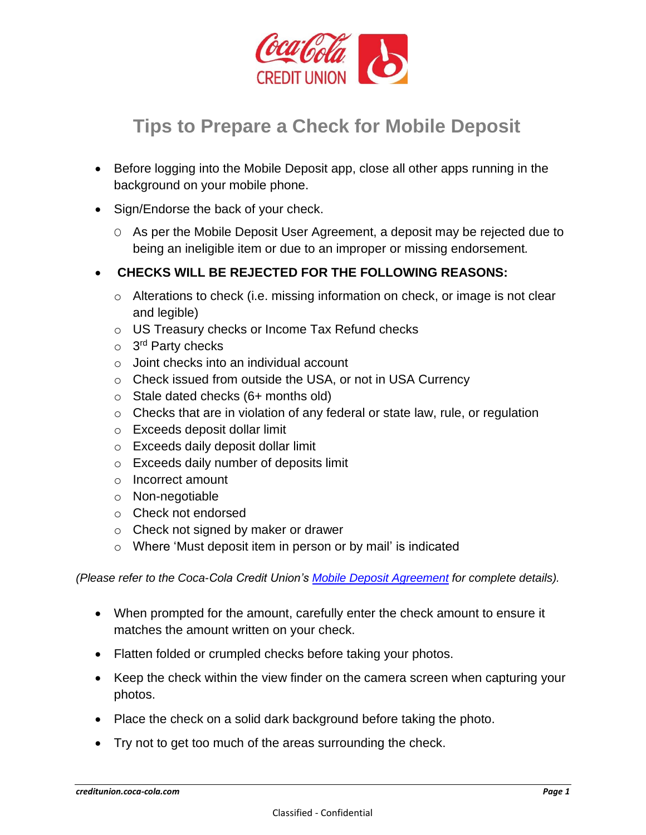

## **[Tips to Prepare a Check for](javascript:;) Mobile Deposit**

- Before logging into the Mobile Deposit app, close all other apps running in the background on your mobile phone.
- Sign/Endorse the back of your check.
	- O As per the Mobile Deposit User Agreement, a deposit may be rejected due to being an ineligible item or due to an improper or missing endorsement*.*
- **CHECKS WILL BE REJECTED FOR THE FOLLOWING REASONS:**
	- o Alterations to check (i.e. missing information on check, or image is not clear and legible)
	- o US Treasury checks or Income Tax Refund checks
	- o 3<sup>rd</sup> Party checks
	- o Joint checks into an individual account
	- o Check issued from outside the USA, or not in USA Currency
	- o Stale dated checks (6+ months old)
	- $\circ$  Checks that are in violation of any federal or state law, rule, or regulation
	- o Exceeds deposit dollar limit
	- o Exceeds daily deposit dollar limit
	- o Exceeds daily number of deposits limit
	- o Incorrect amount
	- o Non-negotiable
	- o Check not endorsed
	- o Check not signed by maker or drawer
	- o Where 'Must deposit item in person or by mail' is indicated

*(Please refer to the Coca-Cola Credit Union's [Mobile Deposit Agreement](https://creditunion.coca-cola.com/wp-content/uploads/2019/12/electronic-services-disclosure.pdf) for complete details).*

- When prompted for the amount, carefully enter the check amount to ensure it matches the amount written on your check.
- Flatten folded or crumpled checks before taking your photos.
- Keep the check within the view finder on the camera screen when capturing your photos.
- Place the check on a solid dark background before taking the photo.
- Try not to get too much of the areas surrounding the check.